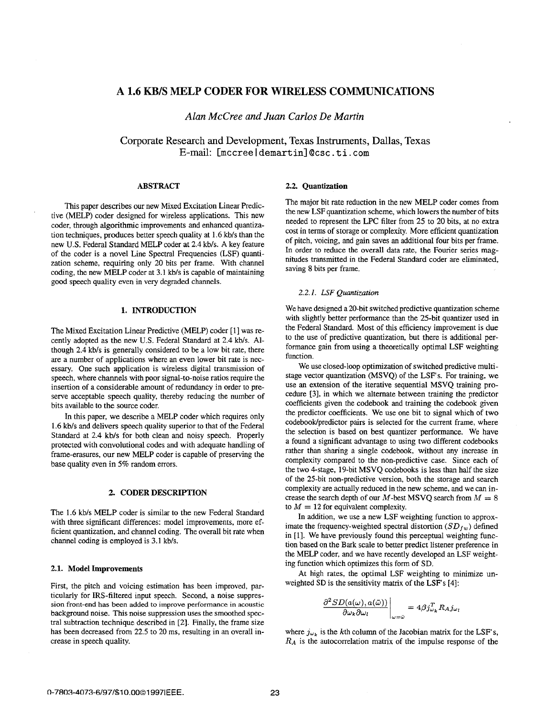# **A 1.6 KB/S MELP CODER FOR WIRELESS COMMUNICATIONS**

*Alan McCree and Juan Carlos De Martin* 

Corporate Research **and** Development, Texas Instruments, Dallas, Texas E-mail: Cmccree I demartinl @csc. **ti a com** 

#### **ABSTRACT**

This paper describes our new Mixed Excitation Linear Predictive (MELP) coder designed for wireless applications. This new coder, through algorithmic improvements and enhanced quantization techniques, produces better speech quality at 1.6 kb/s than the new **U.S.** Federal Standard MELP coder at 2.4 kbls. **A** key feature of the coder is a novel Line Spectral Frequencies **(LSF)** quantization scheme, requiring only 20 bits per frame. With channel coding, the new MELP coder at 3.1 kb/s is capable of maintaining good speech quality even in very degraded channels.

#### **1. INTRODUCTION**

The Mixed Excitation Linear Predictive (MELP) coder [ 11 was recently adopted as the new U.S. Federal Standard at 2.4 kb/s. Although 2.4 kbls is generally considered to be a low bit rate, there are a number of applications where an even lower bit rate is necessary. One such application is wireless digital transmission of speech, where channels with poor signal-to-noise ratios require the insertion of a considerable amount of redundancy in order to preserve acceptable speech quality, thereby reducing the number of bits available to the source coder.

In this paper, we describe a MELP coder which requires only 1.6 kb/s and delivers speech quality superior to that of the Federal Standard at 2.4 kb/s for both clean and noisy speech. Properly protected with convolutional codes and with adequate handling of frame-erasures, our new MELP coder is capable of preserving the base quality even in 5% random errors.

#### **2. CODER DESCRIPTION**

The 1.6 kb/s MELP coder is similar to the new Federal Standard with three significant differences: model improvements, more efficient quantization, and channel coding. The overall bit rate when channel coding is employed is 3.1 kb/s.

### **2.1.** Model Improvements

First, the pitch and voicing estimation has been improved, particularly for IRS-filtered input speech. Second, a noise suppression front-end has been added to improve performance in acoustic background noise. This noise suppression uses the smoothed spectral subtraction technique described in *[2].* Finally, the frame size has been decreased from 22.5 to 20 ms, resulting in **an** overall increase in speech quality.

#### **2.2.** Quantization

The major bit rate reduction in the new MELP coder comes from the new LSF quantization scheme, which lowers the number of bits needed to represent the LPC filter from **25** to 20 bits, at no extra cost in terms of storage or complexity. More efficient quantization of pitch, voicing, and gain saves an additional four bits per frame. In order to reduce the overall data rate, the Fourier series magnitudes transmitted in the Federal Standard coder are eliminated, saving 8 bits per frame.

#### *2.2. I. LSF Quantization*

We have designed a 20-bit switched predictive quantization scheme with slightly better performance than the 25-bit quantizer used in the Federal Standard. Most of this efficiency improvement is due to the use of predictive quantization, but there is additional performance gain from using a theoretically optimal LSF weighting function.

We use closed-loop optimization of switched predictive multistage vector quantization (MSVQ) of the LSF's. For training, we use an extension of the iterative sequential MSVQ training procedure [3], in which we alternate between training the predictor coefficients given the codebook and training the codebook given the predictor coefficients. We use one bit to signal which of two codebook/predictor pairs is selected for the current frame, where the selection is based on best quantizer performance. We have a found a significant advantage to using two different codebooks rather than sharing a single codebook, without any increase in complexity compared to the non-predictive case. Since each of the two 4-stage, 19-bit MSVQ codebooks is less than half the size of the 25-bit non-predictive version, both the storage and search complexity are actually reduced in the new scheme, and we can increase the search depth of our  $M$ -best MSVQ search from  $M = 8$ to  $M = 12$  for equivalent complexity.

In addition, we use a new LSF weighting function to approximate the frequency-weighted spectral distortion  $(SD<sub>fw</sub>)$  defined in [1]. We have previously found this perceptual weighting function based on the Bark scale to better predict listener preference **in**  the MELP coder, and we have recently developed **an** LSF weighting function which optimizes this form of SD.

At high rates, the optimal LSF weighting to minimize **un**weighted SD is the sensitivity matrix of the LSF's [4]:

$$
\left.\frac{\partial^2 SD(a(\omega),a(\bar{\omega}))}{\partial \omega_k \partial \omega_l}\right|_{\omega=\bar{\omega}}=4\beta j^T_{\omega_k} R_A j_{\omega_l}
$$

where  $j_{\omega_k}$  is the kth column of the Jacobian matrix for the LSF's, *RA* is the autocorrelation matrix of the impulse response of the